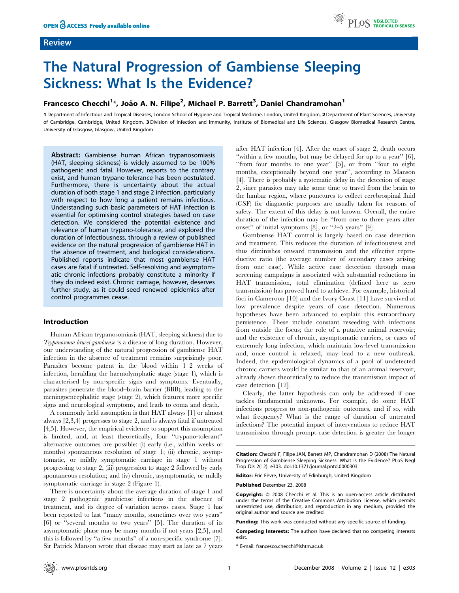## Review

# The Natural Progression of Gambiense Sleeping Sickness: What Is the Evidence?

# Francesco Checchi<sup>1\*</sup>, João A. N. Filipe<sup>2</sup>, Michael P. Barrett<sup>3</sup>, Daniel Chandramohan<sup>1</sup>

1 Department of Infectious and Tropical Diseases, London School of Hygiene and Tropical Medicine, London, United Kingdom, 2 Department of Plant Sciences, University of Cambridge, Cambridge, United Kingdom, 3 Division of Infection and Immunity, Institute of Biomedical and Life Sciences, Glasgow Biomedical Research Centre, University of Glasgow, Glasgow, United Kingdom

Abstract: Gambiense human African trypanosomiasis (HAT, sleeping sickness) is widely assumed to be 100% pathogenic and fatal. However, reports to the contrary exist, and human trypano-tolerance has been postulated. Furthermore, there is uncertainty about the actual duration of both stage 1 and stage 2 infection, particularly with respect to how long a patient remains infectious. Understanding such basic parameters of HAT infection is essential for optimising control strategies based on case detection. We considered the potential existence and relevance of human trypano-tolerance, and explored the duration of infectiousness, through a review of published evidence on the natural progression of gambiense HAT in the absence of treatment, and biological considerations. Published reports indicate that most gambiense HAT cases are fatal if untreated. Self-resolving and asymptomatic chronic infections probably constitute a minority if they do indeed exist. Chronic carriage, however, deserves further study, as it could seed renewed epidemics after control programmes cease.

## Introduction

Human African trypanosomiasis (HAT, sleeping sickness) due to Trypanosoma brucei gambiense is a disease of long duration. However, our understanding of the natural progression of gambiense HAT infection in the absence of treatment remains surprisingly poor. Parasites become patent in the blood within 1–2 weeks of infection, heralding the haemolymphatic stage (stage 1), which is characterised by non-specific signs and symptoms. Eventually, parasites penetrate the blood–brain barrier (BBB), leading to the meningoencephalitic stage (stage 2), which features more specific signs and neurological symptoms, and leads to coma and death.

A commonly held assumption is that HAT always [1] or almost always [2,3,4] progresses to stage 2, and is always fatal if untreated [4,5]. However, the empirical evidence to support this assumption is limited, and, at least theoretically, four ''trypano-tolerant'' alternative outcomes are possible: (i) early (i.e., within weeks or months) spontaneous resolution of stage 1; (ii) chronic, asymptomatic, or mildly symptomatic carriage in stage 1 without progressing to stage 2; (iii) progression to stage 2 followed by early spontaneous resolution; and (iv) chronic, asymptomatic, or mildly symptomatic carriage in stage 2 (Figure 1).

There is uncertainty about the average duration of stage 1 and stage 2 pathogenic gambiense infections in the absence of treatment, and its degree of variation across cases. Stage 1 has been reported to last ''many months, sometimes over two years'' [6] or ''several months to two years'' [5]. The duration of its asymptomatic phase may be many months if not years [2,5], and this is followed by ''a few months'' of a non-specific syndrome [7]. Sir Patrick Manson wrote that disease may start as late as 7 years

after HAT infection [4]. After the onset of stage 2, death occurs ''within a few months, but may be delayed for up to a year'' [6], ''from four months to one year'' [5], or from ''four to eight months, exceptionally beyond one year'', according to Manson [4]. There is probably a systematic delay in the detection of stage 2, since parasites may take some time to travel from the brain to the lumbar region, where punctures to collect cerebrospinal fluid (CSF) for diagnostic purposes are usually taken for reasons of safety. The extent of this delay is not known. Overall, the entire duration of the infection may be ''from one to three years after onset'' of initial symptoms [8], or ''2–5 years'' [9].

Gambiense HAT control is largely based on case detection and treatment. This reduces the duration of infectiousness and thus diminishes onward transmission and the effective reproductive ratio (the average number of secondary cases arising from one case). While active case detection through mass screening campaigns is associated with substantial reductions in HAT transmission, total elimination (defined here as zero transmission) has proved hard to achieve. For example, historical foci in Cameroon [10] and the Ivory Coast [11] have survived at low prevalence despite years of case detection. Numerous hypotheses have been advanced to explain this extraordinary persistence. These include constant reseeding with infections from outside the focus; the role of a putative animal reservoir; and the existence of chronic, asymptomatic carriers, or cases of extremely long infection, which maintain low-level transmission and, once control is relaxed, may lead to a new outbreak. Indeed, the epidemiological dynamics of a pool of undetected chronic carriers would be similar to that of an animal reservoir, already shown theoretically to reduce the transmission impact of case detection [12].

Clearly, the latter hypothesis can only be addressed if one tackles fundamental unknowns. For example, do some HAT infections progress to non-pathogenic outcomes, and if so, with what frequency? What is the range of duration of untreated infections? The potential impact of interventions to reduce HAT transmission through prompt case detection is greater the longer

Citation: Checchi F, Filipe JAN, Barrett MP, Chandramohan D (2008) The Natural Progression of Gambiense Sleeping Sickness: What Is the Evidence? PLoS Negl Trop Dis 2(12): e303. doi:10.1371/journal.pntd.0000303

Editor: Eric Fèvre, University of Edinburgh, United Kingdom

Published December 23, 2008

Copyright:  $@ 2008$  Checchi et al. This is an open-access article distributed under the terms of the Creative Commons Attribution License, which permits unrestricted use, distribution, and reproduction in any medium, provided the original author and source are credited.

Funding: This work was conducted without any specific source of funding.

Competing Interests: The authors have declared that no competing interests exist.

\* E-mail: francesco.checchi@lshtm.ac.uk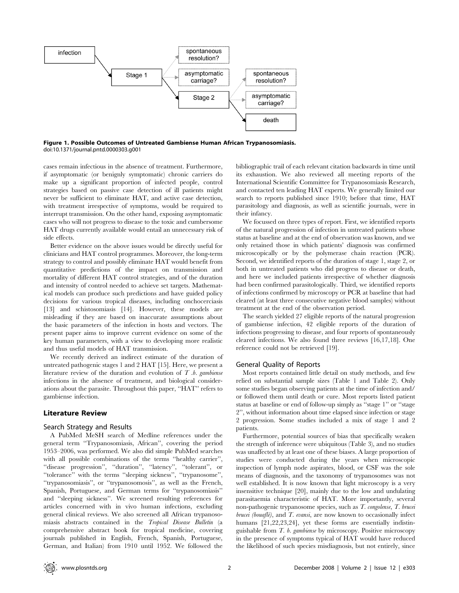

Figure 1. Possible Outcomes of Untreated Gambiense Human African Trypanosomiasis. doi:10.1371/journal.pntd.0000303.g001

cases remain infectious in the absence of treatment. Furthermore, if asymptomatic (or benignly symptomatic) chronic carriers do make up a significant proportion of infected people, control strategies based on passive case detection of ill patients might never be sufficient to eliminate HAT, and active case detection, with treatment irrespective of symptoms, would be required to interrupt transmission. On the other hand, exposing asymptomatic cases who will not progress to disease to the toxic and cumbersome HAT drugs currently available would entail an unnecessary risk of side effects.

Better evidence on the above issues would be directly useful for clinicians and HAT control programmes. Moreover, the long-term strategy to control and possibly eliminate HAT would benefit from quantitative predictions of the impact on transmission and mortality of different HAT control strategies, and of the duration and intensity of control needed to achieve set targets. Mathematical models can produce such predictions and have guided policy decisions for various tropical diseases, including onchocerciasis [13] and schistosomiasis [14]. However, these models are misleading if they are based on inaccurate assumptions about the basic parameters of the infection in hosts and vectors. The present paper aims to improve current evidence on some of the key human parameters, with a view to developing more realistic and thus useful models of HAT transmission.

We recently derived an indirect estimate of the duration of untreated pathogenic stages 1 and 2 HAT [15]. Here, we present a literature review of the duration and evolution of  $T$  b. gambiense infections in the absence of treatment, and biological considerations about the parasite. Throughout this paper, ''HAT'' refers to gambiense infection.

## Literature Review

#### Search Strategy and Results

A PubMed MeSH search of Medline references under the general term ''Trypanosomiasis, African'', covering the period 1953–2006, was performed. We also did simple PubMed searches with all possible combinations of the terms ''healthy carrier'', ''disease progression'', ''duration'', ''latency'', ''tolerant'', or ''tolerance'' with the terms ''sleeping sickness'', ''trypanosome'', ''trypanosomiasis'', or ''trypanosomosis'', as well as the French, Spanish, Portuguese, and German terms for ''trypanosomiasis'' and ''sleeping sickness''. We screened resulting references for articles concerned with in vivo human infections, excluding general clinical reviews. We also screened all African trypanosomiasis abstracts contained in the Tropical Disease Bulletin (a comprehensive abstract book for tropical medicine, covering journals published in English, French, Spanish, Portuguese, German, and Italian) from 1910 until 1952. We followed the bibliographic trail of each relevant citation backwards in time until its exhaustion. We also reviewed all meeting reports of the International Scientific Committee for Trypanosomiasis Research, and contacted ten leading HAT experts. We generally limited our search to reports published since 1910; before that time, HAT parasitology and diagnosis, as well as scientific journals, were in their infancy.

We focussed on three types of report. First, we identified reports of the natural progression of infection in untreated patients whose status at baseline and at the end of observation was known, and we only retained those in which patients' diagnosis was confirmed microscopically or by the polymerase chain reaction (PCR). Second, we identified reports of the duration of stage 1, stage 2, or both in untreated patients who did progress to disease or death, and here we included patients irrespective of whether diagnosis had been confirmed parasitologically. Third, we identified reports of infections confirmed by microscopy or PCR at baseline that had cleared (at least three consecutive negative blood samples) without treatment at the end of the observation period.

The search yielded 27 eligible reports of the natural progression of gambiense infection, 42 eligible reports of the duration of infections progressing to disease, and four reports of spontaneously cleared infections. We also found three reviews [16,17,18]. One reference could not be retrieved [19].

#### General Quality of Reports

Most reports contained little detail on study methods, and few relied on substantial sample sizes (Table 1 and Table 2). Only some studies began observing patients at the time of infection and/ or followed them until death or cure. Most reports listed patient status at baseline or end of follow-up simply as ''stage 1'' or ''stage 2'', without information about time elapsed since infection or stage 2 progression. Some studies included a mix of stage 1 and 2 patients.

Furthermore, potential sources of bias that specifically weaken the strength of inference were ubiquitous (Table 3), and no studies was unaffected by at least one of these biases. A large proportion of studies were conducted during the years when microscopic inspection of lymph node aspirates, blood, or CSF was the sole means of diagnosis, and the taxonomy of trypanosomes was not well established. It is now known that light microscopy is a very insensitive technique [20], mainly due to the low and undulating parasitaemia characteristic of HAT. More importantly, several non-pathogenic trypanosome species, such as T. congolense, T. brucei brucei (bouaflé), and  $T$  evansi, are now known to occasionally infect humans [21,22,23,24], yet these forms are essentially indistinguishable from T. b. gambiense by microscopy. Positive microscopy in the presence of symptoms typical of HAT would have reduced the likelihood of such species misdiagnosis, but not entirely, since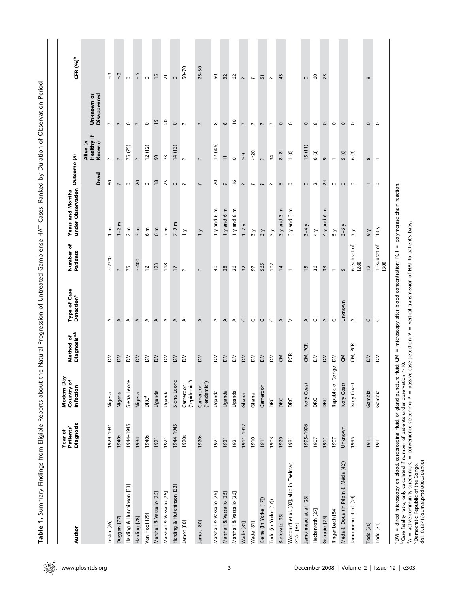| Author                                                                                                                                                                                                                                                                                                                                                                                                           | Diagnosis<br>Patients'<br>Year of | Modern-Day<br>Country of<br>Infection | Method of<br>Diagnosis <sup>a,b</sup> | Type of Case<br>Detection <sup>c</sup>                | Number of<br>Patients    | under Observation<br>Years and Months | Outcome (n)              |                                  |                           | CFR $(%)^b$              |
|------------------------------------------------------------------------------------------------------------------------------------------------------------------------------------------------------------------------------------------------------------------------------------------------------------------------------------------------------------------------------------------------------------------|-----------------------------------|---------------------------------------|---------------------------------------|-------------------------------------------------------|--------------------------|---------------------------------------|--------------------------|----------------------------------|---------------------------|--------------------------|
|                                                                                                                                                                                                                                                                                                                                                                                                                  |                                   |                                       |                                       |                                                       |                          |                                       | Dead                     | Healthy if<br>Alive (n<br>Known) | Disappeared<br>Unknown or |                          |
| Lester [76]                                                                                                                                                                                                                                                                                                                                                                                                      | 1929-1931                         | Nigeria                               | δ                                     | $\prec$                                               | $\approx$ 2700           | ε<br>$\overline{a}$                   | 80                       | $\overline{\phantom{a}}$         | $\overline{\phantom{m}}$  | $\widetilde{\mathbb{Z}}$ |
| Duggan [77]                                                                                                                                                                                                                                                                                                                                                                                                      | 1940s                             | Nigeria                               | $\delta$                              | $\prec$                                               | $\sim$                   | $1-2$ m                               | $\overline{\phantom{a}}$ | $\overline{\phantom{a}}$         | $\overline{\phantom{m}}$  | $\approx$                |
| Harding & Hutchinson [33]                                                                                                                                                                                                                                                                                                                                                                                        | 1944-1945                         | Sierra Leone                          | $\mathsf{M}$                          | $\prec$                                               | 75                       | 2 m                                   | $\circ$                  | 75 (75)                          | $\circ$                   | $\circ$                  |
| Harding [78]                                                                                                                                                                                                                                                                                                                                                                                                     | 1934                              | Nigeria                               | ΣM                                    | $\prec$                                               | $=400$                   | $3 \text{ m}$                         | $\overline{5}$           | $\sim$                           | $\mathord{\sim}$          | $\frac{5}{3}$            |
| Van Hoof [79]                                                                                                                                                                                                                                                                                                                                                                                                    | 1940s                             | <b>DRCd</b>                           | $\mathsf{M}$                          | $\prec$                                               | $\overline{c}$           | ε<br>$\circ$                          | $\circ$                  | (12)<br>$\overline{c}$           | $\circ$                   | $\circ$                  |
| Marshall & Vassallo [26]                                                                                                                                                                                                                                                                                                                                                                                         | 1921                              | Uganda                                | $\geq$                                | $\prec$                                               | 123                      | 6m                                    | $\frac{8}{2}$            | $\mathcal{S}$                    | $\frac{5}{2}$             | 15                       |
| Marshall & Vassallo [26]                                                                                                                                                                                                                                                                                                                                                                                         | 1921                              | Uganda                                | $\mathsf{M}$                          | ⋖                                                     | 118                      | $\overline{7}$ m                      | 25                       | 73                               | 20                        | $\overline{2}1$          |
| Harding & Hutchinson [33]                                                                                                                                                                                                                                                                                                                                                                                        | 1944-1945                         | Sierra Leone                          | $\geq$                                | ⋖                                                     | $\overline{1}$           | $7 - 9$ m                             | $\circ$                  | 14(13)                           | $\circ$                   | $\circ$                  |
| Jamot [80]                                                                                                                                                                                                                                                                                                                                                                                                       | 1920s                             | ("epidemic")<br>Cameroon              | ΣÑ                                    | $\prec$                                               | $\overline{\phantom{m}}$ | $\geq$                                | $\sim$                   | $\sim$                           | $\sim$                    | $50 - 70$                |
| Jamot [80]                                                                                                                                                                                                                                                                                                                                                                                                       | 1920s                             | ("endemic")<br>Cameroon               | ΣM                                    | $\prec$                                               | Į.                       | $\geq$                                | ŗ.                       | $\overline{\phantom{a}}$         | $\overline{\phantom{m}}$  | $25 - 30$                |
| Marshall & Vassallo [26]                                                                                                                                                                                                                                                                                                                                                                                         | 1921                              | Uganda                                | Σ                                     | ⋖                                                     | ੩                        | 6m<br>1 y and                         | 20                       | (56)<br>$\overline{c}$           | $\infty$                  | ${\tt S0}$               |
| Marshall & Vassallo [26]                                                                                                                                                                                                                                                                                                                                                                                         | 1921                              | Uganda                                | $\geq$                                | $\prec$                                               | 28                       | 1 y and 6 m                           | G                        | $\overline{1}$                   | $\infty$                  | 32                       |
| Marshall & Vassallo [26]                                                                                                                                                                                                                                                                                                                                                                                         | 1921                              | Uganda                                | $\mathsf{M}$                          | $\prec$                                               | 26                       | $\frac{2}{8}$<br>1 y and              | $\tilde{e}$              | $\circ$                          | $\overline{c}$            | $\mathcal{O}$            |
| Wade [81]                                                                                                                                                                                                                                                                                                                                                                                                        | 1911-1912                         | Ghana                                 | $\geq$                                | $\cup$                                                | 32                       | $1-2$ $y$                             | $\overline{\phantom{m}}$ | $\frac{9}{2}$                    | $\overline{\phantom{m}}$  | $\sim$                   |
| Wade [81]                                                                                                                                                                                                                                                                                                                                                                                                        | 1910                              | Ghana                                 | ΣÑ                                    | $\cup$                                                | 5                        | $\frac{1}{2}$                         | $\sim$                   | $\geq 20$                        | $\overline{\phantom{m}}$  | $\sim$                   |
| Kleine (in Yorke [17])                                                                                                                                                                                                                                                                                                                                                                                           | 1911                              | Cameroon                              | $\mathsf{M}$                          | $\cup$                                                | 565                      | $\frac{3}{3}$                         | $\overline{\phantom{m}}$ | $\overline{\phantom{m}}$         | $\overline{\phantom{m}}$  | 51                       |
| Todd (in Yorke [17])                                                                                                                                                                                                                                                                                                                                                                                             | 1903                              | DRC                                   | $\delta$                              | $\cup$                                                | 102                      | $\frac{3}{2}$                         | $\sim$                   | 34                               | $\sim$                    | $\sim$                   |
| Barlovatz [35]                                                                                                                                                                                                                                                                                                                                                                                                   | 1929                              | DRC                                   | $\mathsf{S}% _{T}$                    | $\prec$                                               | $\overline{4}$           | ε<br>$\mathsf{S}$<br>$3y$ and         | 0                        | 8(8)                             | $\circ$                   | 43                       |
| Woodruff et al. [82]; also in Taelman<br>et al. [83]                                                                                                                                                                                                                                                                                                                                                             | 1981                              | DRC                                   | PCR                                   | $\geq$                                                | $\overline{\phantom{0}}$ | ε<br>$\sim$<br>3 y and                | $\circ$                  | (0)                              | $\circ$                   |                          |
| Jamonneau et al. [28]                                                                                                                                                                                                                                                                                                                                                                                            | 1995-1996                         | Ivory Coast                           | CM, PCR                               | $\prec$                                               | 15                       | $3-4y$                                | $\circ$                  | 15(11)                           | $\circ$                   | $\circ$                  |
| Heckenroth [27]                                                                                                                                                                                                                                                                                                                                                                                                  | 1907                              | DRC                                   | ΣÑ                                    | $\cup$                                                | 36                       | $\frac{1}{4}$                         | ភ                        | 6(3)                             | $\infty$                  | 8                        |
| Greggio [25]                                                                                                                                                                                                                                                                                                                                                                                                     | 1911                              | DRC                                   | $\geq$                                | $\prec$                                               | 33                       | 4 y and 6 m                           | $\overline{z}$           | G                                | $\circ$                   | 73                       |
| Ringenbach [84]                                                                                                                                                                                                                                                                                                                                                                                                  | 1907                              | Republic of Congo                     | $\mathsf{M}$                          | U                                                     | $\overline{\phantom{0}}$ | 5y                                    | $\circ$                  | $\overline{\phantom{0}}$         | $\circ$                   |                          |
| Méda & Doua (in Pépin & Méda [42])                                                                                                                                                                                                                                                                                                                                                                               | Unknown                           | Ivory Coast                           | $\mathcal{E}$                         | Unknown                                               | 5                        | $3-6y$                                | $\circ$                  | 5(0)                             | $\circ$                   |                          |
| Jamonneau et al. [29]                                                                                                                                                                                                                                                                                                                                                                                            | 1995                              | Ivory Coast                           | CM, PCR                               | $\prec$                                               | 6 (subset of<br>[28]     | $\overline{7}$ y                      | $\circ$                  | ල<br>$\circ$                     | $\circ$                   |                          |
| Todd [30]                                                                                                                                                                                                                                                                                                                                                                                                        | 1911                              | Gambia                                | ΣM                                    | $\cup$                                                | 12                       | $\theta$                              | $\overline{\phantom{0}}$ | $\infty$                         | $\circ$                   | $\infty$                 |
| Todd [31]                                                                                                                                                                                                                                                                                                                                                                                                        | 1911                              | Gambia                                | $\delta$                              | $\cup$                                                | 1 (subset of<br>[30]     | 13 y                                  | $\circ$                  | $\overline{\phantom{0}}$         | $\circ$                   |                          |
| <sup>b</sup> Case fatality ratio; only calculated if number of patients under observation >10.<br>'A = active community screening; C = convenience screening; P = passive case detection; V = vertical transmission of HAT to patient's b<br>aDM = direct microscopy on blood, cerebrospinal fluid, or gland puncture<br>doi:10.1371/journal.pntd.0000303.t001<br><sup>d</sup> Democratic Republic of the Congo. |                                   |                                       |                                       | fluid; CM = microscopy after blood concentration; PCR |                          | = polymerase chain reaction.          |                          |                                  |                           |                          |

Table 1. Summary Findings from Eligible Reports about the Natural Progression of Untreated Gambiense HAT Cases, Ranked by Duration of Observation Period

Table 1. Summary Findings from Eligible Reports about the Natural Progression of Untreated Gambiense HAT Cases, Ranked by Duration of Observation Period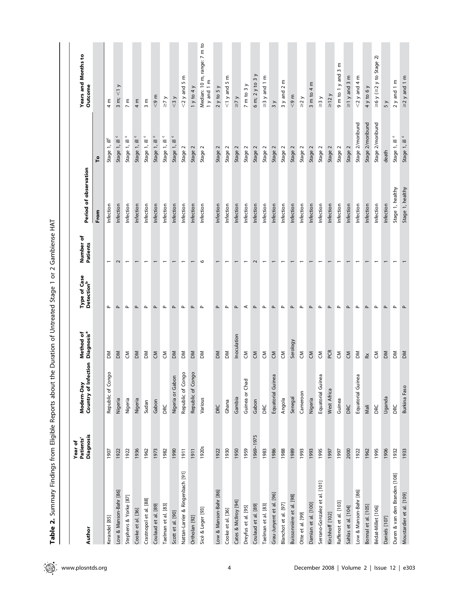| Author                           | Diagnosis<br>Patients'<br>Year of | action<br>Country of Infe<br>Modern-Day | Method of<br>Diagnosis <sup>a</sup>                                                                                                                                                                                                                                                                                                                                                                                                                      | Type of Case<br>Detection <sup>b</sup> | Number of<br><b>Patients</b> | Period of observation |                           | <b>Years and Months to</b><br>Outcome                          |
|----------------------------------|-----------------------------------|-----------------------------------------|----------------------------------------------------------------------------------------------------------------------------------------------------------------------------------------------------------------------------------------------------------------------------------------------------------------------------------------------------------------------------------------------------------------------------------------------------------|----------------------------------------|------------------------------|-----------------------|---------------------------|----------------------------------------------------------------|
|                                  |                                   |                                         |                                                                                                                                                                                                                                                                                                                                                                                                                                                          |                                        |                              | From                  | ٢o                        |                                                                |
| Kerandel [85]                    | 1907                              | $\circ$<br>Republic of Cong             | ΣÑ                                                                                                                                                                                                                                                                                                                                                                                                                                                       | Δ.                                     | $\overline{\phantom{0}}$     | Infection             | Stage 1, ill <sup>c</sup> | 4 m                                                            |
| Low & Manson-Bahr [86]           | 1922                              | Nigeria                                 | ΣM                                                                                                                                                                                                                                                                                                                                                                                                                                                       | <b>L</b>                               | 2                            | Infection             | $\cup$<br>Stage 1, ill    | $\leq 1$<br>$\frac{3}{2}$ m;                                   |
| Stephens & Yorke [87]            | 1922                              | Nigeria                                 | $\mathsf{S}% _{T}$                                                                                                                                                                                                                                                                                                                                                                                                                                       | $\mathbf{r}$                           | $\overline{\phantom{0}}$     | Infection             | U<br>Stage 1, ill         | $7 \text{ m}$                                                  |
| Cooke et al. [36]                | 1936                              | Nigeria                                 | $\mathsf{M}$                                                                                                                                                                                                                                                                                                                                                                                                                                             | Δ.                                     | $\overline{\phantom{0}}$     | Infection             | U<br>Stage 1, ill         | $4 \text{ m}$                                                  |
| Crastnopol et al. [88]           | 1962                              | Sudan                                   | $\mathsf{M}$                                                                                                                                                                                                                                                                                                                                                                                                                                             | $\mathbf{r}$                           | $\overline{\phantom{0}}$     | Infection             | $\cup$<br>Stage 1, ill    | $\frac{8}{3}$ m                                                |
| Coulaud et al. [89]              | 1973                              | Gabon                                   | $\overline{S}$                                                                                                                                                                                                                                                                                                                                                                                                                                           | $\mathtt{a}$                           | $\overline{\phantom{0}}$     | Infection             | U<br>Stage 1, ill         | $\leqslant 9$ m                                                |
| Taelman et al. [83]              | 1982                              | DRC                                     | $\mathsf{S}% _{T}$                                                                                                                                                                                                                                                                                                                                                                                                                                       | $\mathbf{r}$                           | $\overline{\phantom{0}}$     | Infection             | $\cup$<br>Stage 1, ill    | $\geq 7$ y                                                     |
| Scott et al. [90]                | 1990                              | Nigeria or Gabon                        | $\mathsf{M}$                                                                                                                                                                                                                                                                                                                                                                                                                                             | Δ.                                     | $\overline{ }$               | Infection             | Stage 1, ill              | $\leq$ 3 y                                                     |
| Nattan-Larrier & Ringenbach [91] | 1911                              | $\circ$<br>Republic of Cong             | $\mathsf{M}$                                                                                                                                                                                                                                                                                                                                                                                                                                             | $\mathbf{r}$                           | $\overline{\phantom{0}}$     | Infection             | Stage 2                   | $<$ 2 y and 5 m                                                |
| Ortholan [92]                    | 1911                              | $\circ$<br>Republic of Cong             | $\mathsf{M}$                                                                                                                                                                                                                                                                                                                                                                                                                                             | $\mathtt{a}$                           | $\overline{ }$               | Infection             | Stage 2                   | 1 y to 4 y                                                     |
| Sicé & Leger [93]                | 1920s                             | Various                                 | $\mathsf{M}$                                                                                                                                                                                                                                                                                                                                                                                                                                             | $\mathbf{\Omega}$                      | $\circ$                      | Infection             | Stage 2                   | Median: 10 m, range: 7 m to<br>1 y and 1 m                     |
| Low & Manson-Bahr [86]           | 1922                              | DRC                                     | ΜO                                                                                                                                                                                                                                                                                                                                                                                                                                                       | $\mathtt{a}$                           | $\overline{ }$               | Infection             | Stage 2                   | 2 y to 5 y                                                     |
| Cooke et al. [36]                | 1930                              | Ghana                                   | $\mathsf{M}$                                                                                                                                                                                                                                                                                                                                                                                                                                             | $\mathbf{r}$                           | $\overline{\phantom{0}}$     | Infection             | Stage 2                   | ε<br>$<$ 1 y and 5                                             |
| Cates & Mcliroy [94]             | 1950                              | Gambia                                  | Inoculation                                                                                                                                                                                                                                                                                                                                                                                                                                              | $\mathtt{\mathtt{a}}$                  | $\overline{ }$               | Infection             | Stage 2                   | $\geq 7$                                                       |
| Dreyfus et al. [95]              | 1959                              | Guinea or Chad                          | $\mathbf{S}$                                                                                                                                                                                                                                                                                                                                                                                                                                             | $\prec$                                | $\overline{\phantom{0}}$     | Infection             | Stage 2                   | $7 \text{ m}$ to $3 \text{ y}$                                 |
| Coulaud et al. [89]              | 1969-1975                         | Gabon                                   | $\overline{S}$                                                                                                                                                                                                                                                                                                                                                                                                                                           | $\mathbf{r}$                           | $\sim$                       | Infection             | Stage 2                   | $\overline{\phantom{0}}$<br>$6 \text{ m}$ ; $2 \text{ y}$ to 3 |
| Taelman et al. [83]              | 1983                              | DRC                                     | $\mathsf{S}% _{T}$                                                                                                                                                                                                                                                                                                                                                                                                                                       | $\mathbf{r}$                           | $\overline{\phantom{0}}$     | Infection             | Stage 2                   | $\geq$ 3 y and 1 m                                             |
| Grau-Junyent et al. [96]         | 1986                              | Equatorial Guinea                       | $\overline{S}$                                                                                                                                                                                                                                                                                                                                                                                                                                           | $\mathtt{a}$                           | $\overline{ }$               | Infection             | Stage 2                   | 3 y                                                            |
| Blanchot et al. [97]             | 1988                              | Angola                                  | $\mathsf{S}% _{T}=\mathsf{S}_{T}\!\left( a,b\right) ,\mathsf{S}_{T}=\mathsf{S}_{T}\!\left( a,b\right) ,\mathsf{S}_{T}=\mathsf{S}_{T}\!\left( a,b\right) ,\mathsf{S}_{T}=\mathsf{S}_{T}\!\left( a,b\right) ,\mathsf{S}_{T}=\mathsf{S}_{T}\!\left( a,b\right) ,\mathsf{S}_{T}=\mathsf{S}_{T}\!\left( a,b\right) ,\mathsf{S}_{T}=\mathsf{S}_{T}\!\left( a,b\right) ,\mathsf{S}_{T}=\mathsf{S}_{T}\!\left( a,b\right) ,\mathsf{S}_{T}=\mathsf{S}_{T}\!\left$ | $\mathbf{r}$                           | $\overline{\phantom{0}}$     | Infection             | Stage 2                   | 3 y and 2 m                                                    |
| Buissonnière et al. [98]         | 1989                              | Senegal                                 | Serology                                                                                                                                                                                                                                                                                                                                                                                                                                                 | $\mathtt{a}$                           | $\overline{\phantom{0}}$     | Infection             | Stage 2                   | < 9 m                                                          |
| Otte et al. [99]                 | 1993                              | Cameroon                                | $\mathsf{S}% _{T}$                                                                                                                                                                                                                                                                                                                                                                                                                                       | $\mathbf{r}$                           | $\overline{\phantom{0}}$     | Infection             | Stage 2                   | $\geq$ 2y                                                      |
| Damian et al. [100]              | 1993                              | Nigeria                                 | $\mathsf{S}$                                                                                                                                                                                                                                                                                                                                                                                                                                             | $\mathtt{r}$                           | $\overline{ }$               | Infection             | Stage 2                   | 3 m to 4 m                                                     |
| Serrano-Gonzalez et al. [101]    | 1995                              | Equatorial Guinea                       | $\mathsf{S}% _{T}$                                                                                                                                                                                                                                                                                                                                                                                                                                       | $\mathbf{r}$                           | $\overline{\phantom{0}}$     | Infection             | Stage 2                   | $\geq$ 3y                                                      |
| Kirchhoff [102]                  | 1997                              | West Africa                             | PCR                                                                                                                                                                                                                                                                                                                                                                                                                                                      | $\mathtt{a}$                           | $\overline{ }$               | Infection             | Stage 2                   | $\geq$ 12 y                                                    |
| Raffenot et al. [103]            | 1997                              | Guinea                                  | $\mathsf{S}% _{T}$                                                                                                                                                                                                                                                                                                                                                                                                                                       | o.                                     | $\overline{ }$               | Infection             | $\sim$<br>Stage           | ε<br>$\infty$<br>$9 \text{ m}$ to 1 y and                      |
| Sahlas et al. [104]              | 2000                              | DRC                                     | $\overline{c}$                                                                                                                                                                                                                                                                                                                                                                                                                                           | $\mathtt{\mathtt{a}}$                  | $\overline{ }$               | Infection             | Stage                     | ε<br>$\geq$ 1 y and 3                                          |
| Low & Manson-Bahr [86]           | 1922                              | Equatorial Guinea                       | $\mathop{\mathsf{S}}\nolimits$                                                                                                                                                                                                                                                                                                                                                                                                                           | $\mathbf{r}$                           |                              | Infection             | Stage 2/moribund          | $<$ 2 y and 4 m                                                |
| Bonnal et al. [105]              | 1962                              | Mali                                    | $\boldsymbol{\check{\approx}}$                                                                                                                                                                                                                                                                                                                                                                                                                           | $\mathtt{a}$                           |                              | Infection             | Stage 2/moribund          | 4 y to 6 y                                                     |
| Bédat-Millet [106]               | 1995                              | DRC                                     | $\mathsf{S}% _{T}$                                                                                                                                                                                                                                                                                                                                                                                                                                       | o.                                     |                              | Infection             | Stage 2/moribund          | $\geq 6$ y ( $\geq 2$ y to Stage 2)                            |
| Daniels [107]                    | 1906                              | Uganda                                  | $\mathsf{M}$                                                                                                                                                                                                                                                                                                                                                                                                                                             | $\mathtt{a}$                           |                              | Infection             | death                     | 5y                                                             |
| Duren & van den Branden [108]    | 1932                              | DRC                                     | $\mathsf{M}$                                                                                                                                                                                                                                                                                                                                                                                                                                             | Δ.                                     |                              | Stage 1, healthy      | U<br>Stage 1, ill         | $2$ y and 1 m                                                  |
| Moustardier et al. [109]         | 1933                              | Burkina Faso                            | ΔM                                                                                                                                                                                                                                                                                                                                                                                                                                                       | $\mathtt{a}$                           |                              | Stage 1, healthy      | Stage 1, ill c            | $\geq$ 2 y and 1 m                                             |

Table 2. Summary Findings from Eligible Reports about the Duration of Untreated Stage 1 or 2 Gambiense HAT Table 2. Summary Findings from Eligible Reports about the Duration of Untreated Stage 1 or 2 Gambiense HAT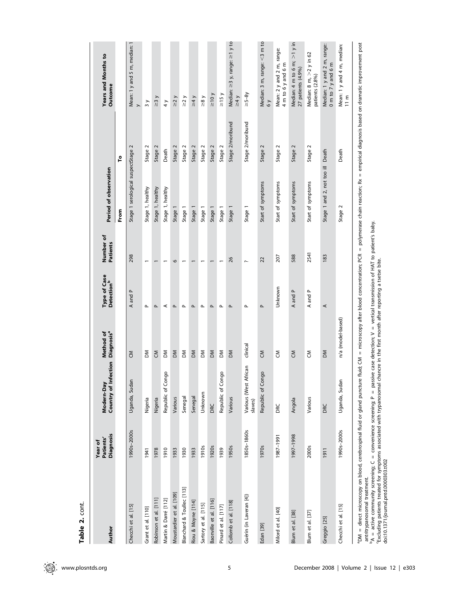| Author                                                                                                                                                                                                                             | <b>Diagnosis</b><br>Patients'<br>Year of | Country of Infection<br>Modern-Day | Diagnosis <sup>a</sup><br>Method of | <b>Type of Case</b><br><b>Detection</b> <sup>b</sup> | Number of<br><b>Patients</b> | Period of observation              |                  | Years and Months to<br>Outcome                         |
|------------------------------------------------------------------------------------------------------------------------------------------------------------------------------------------------------------------------------------|------------------------------------------|------------------------------------|-------------------------------------|------------------------------------------------------|------------------------------|------------------------------------|------------------|--------------------------------------------------------|
|                                                                                                                                                                                                                                    |                                          |                                    |                                     |                                                      |                              | From                               | $\mathbf{e}$     |                                                        |
| Checchi et al. [15]                                                                                                                                                                                                                | 1990s-2000s                              | Uganda, Sudan                      | ξ                                   | A and P                                              | 298                          | Stage 1 serological suspectStage 2 |                  | Mean: 1 y and 5 m, median: 1<br>$\rightarrow$          |
| Grant et al. [110]                                                                                                                                                                                                                 | 1941                                     | Nigeria                            | ΣÑ                                  | $\mathbf{r}$                                         |                              | Stage 1, healthy                   | Stage 2          | $\frac{1}{3}$                                          |
| Robinson et al. [111]                                                                                                                                                                                                              | 1978                                     | Nigeria                            | ξ                                   | <b>L</b>                                             |                              | Stage 1, healthy                   | Stage 2          | $\geq$ 3 y                                             |
| Martin & Darré [112]                                                                                                                                                                                                               | 1910                                     | Republic of Congo                  | ΣÑ                                  | ⋖                                                    |                              | Stage 1, healthy                   | Death            | $\frac{1}{4}$                                          |
| Moustardier et al. [109]                                                                                                                                                                                                           | 1933                                     | Various                            | $\geq$                              | $\sim$                                               | $\circ$                      | Stage 1                            | Stage 2          | $\geq$ 2 y                                             |
| Blanchard & Toullec [113]                                                                                                                                                                                                          | 1930                                     | Senegal                            | ΣÑ                                  | $\mathbf{r}$                                         |                              | Stage 1                            | Stage 2          | $\geq$ 2 y                                             |
| Riou & Moyne [114]                                                                                                                                                                                                                 | 1933                                     | Senegal                            | $\geq$                              | ௳                                                    |                              | Stage 1                            | Stage 2          | $\geq 4$ y                                             |
| Sartory et al. [115]                                                                                                                                                                                                               | 1910s                                    | Unknown                            | ΣÑ                                  | $\mathbf{r}$                                         |                              | Stage 1                            | Stage 2          | $\geq 8$ y                                             |
| Baonville et al. [116]                                                                                                                                                                                                             | 1920s                                    | DRC                                | $\geq$                              | $\mathbf{r}$                                         |                              | Stage 1                            | Stage 2          | $\geq 10$ y                                            |
| Pinard et al. [117]                                                                                                                                                                                                                | 1939                                     | Republic of Congo                  | ΣÑ                                  | $\mathbf{r}$                                         |                              | Stage 1                            | Stage 2          | $\geq$ 15 y                                            |
| Collomb et al. [118]                                                                                                                                                                                                               | 1950s                                    | Various                            | MQ                                  | $\mathbf{r}$                                         | 26                           | Stage 1                            | Stage 2/moribund | Median: $\geq$ 3 y, range: $\geq$ 1 y to<br>$\geq 4$ y |
| Guérin (in Laveran [4])                                                                                                                                                                                                            | 1850s-1860s                              | Various (West African<br>slaves)   | clinical                            | $\mathbf{r}$                                         | $\overline{\phantom{m}}$     | Stage 1                            | Stage 2/moribund | $\geq 5-8y$                                            |
| Edan [39]                                                                                                                                                                                                                          | 1970s                                    | Republic of Congo                  | $\tilde{\epsilon}$                  | $\sim$                                               | $\overline{2}$               | Start of symptoms                  | Stage 2          | Median: 3 m, range: < 3 m to<br>$\delta$ $\gamma$      |
| Milord et al. [40]                                                                                                                                                                                                                 | 1987-1991                                | DRC                                | ξ                                   | Unknown                                              | 207                          | Start of symptoms                  | Stage 2          | Mean: 2 y and 2 m, range:<br>4 m to 6 y and 6 m        |
| Blum et al. [38]                                                                                                                                                                                                                   | 1997-1998                                | Angola                             | ξ                                   | A and P                                              | 588                          | Start of symptoms                  | Stage 2          | Median: 4 m to 6 m; $>1$ y in<br>27 patients (4.9%)    |
| Blum et al. [37]                                                                                                                                                                                                                   | <b>2000s</b>                             | Various                            | ξ                                   | A and P                                              | 2541                         | Start of symptoms                  | Stage 2          | Median: 8 m, >2 y in 62<br>patients (2.8%)             |
| Greggio [25]                                                                                                                                                                                                                       | 1911                                     | DRC                                | MQ                                  | ⋖                                                    | 183                          | Stage 1 and 2, not too ill Death   |                  | Median: 1 y and 2 m, range:<br>0 m to 7 y and 6 m      |
| Checchi et al. [15]                                                                                                                                                                                                                | 1990s-2000s                              | Uganda, Sudan                      | n/a (model-based)                   |                                                      |                              | Stage 2                            | Death            | Mean: 1 y and 4 m, median:<br>11 m                     |
| <sup>a</sup> DM = direct microscopy on blood, cerebrospinal fluid or gland puncture fluid; CM = microscopy after blood concentration; PCR = polymerase chain reaction; Rx = empirical diagnosis based on dramatic improvement post |                                          |                                    |                                     |                                                      |                              |                                    |                  |                                                        |

antritrypanosomal treatment.

antitrypanosomal treatment.<br><sup>b</sup>A = active community screening; C = convenience screening; P = passive case detection; V = vertical transmission of HAT to patient's baby.<br>"Excluding patients treated for symptoms associated  $PA =$  active community screening;  $C =$  convenience screening;  $P =$  passive case detection;  $V =$  vertical transmission of HAT to patient's baby.

cExcluding patients treated for symptoms associated with trypanosomal chancre in the first month after reporting a tsetse bite.

doi:10.1371/journal.pntd.0000303.t002

Table 2.

Table 2. cont.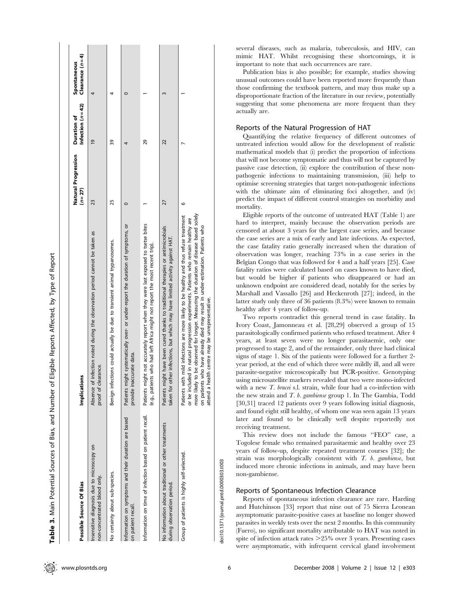| Possible Source Of Bias                                                            | Implications                                                                                                                                                                                                                                                                                                                                                                                                      | Natural Progression<br>$(n=27)$ | Infection $(n=42)$<br>Duration of | $C$ learance $(n=4)$<br>Spontaneous |
|------------------------------------------------------------------------------------|-------------------------------------------------------------------------------------------------------------------------------------------------------------------------------------------------------------------------------------------------------------------------------------------------------------------------------------------------------------------------------------------------------------------|---------------------------------|-----------------------------------|-------------------------------------|
| Insensitive diagnosis due to microscopy on<br>non-concentrated blood only.         | Absence of infection noted during the observation period cannot be taken as<br>proof of clearance.                                                                                                                                                                                                                                                                                                                | 23                              | $\overline{19}$                   |                                     |
| No certainty about sub-species.                                                    | Benign infections could actually be due to transient animal trypanosomes.                                                                                                                                                                                                                                                                                                                                         | 25                              | 39                                |                                     |
| Information on symptoms and their duration are based<br>on patient recall.         | Patients might systematically over- or under-report the duration of symptoms, or<br>provide inaccurate data.                                                                                                                                                                                                                                                                                                      |                                 |                                   |                                     |
| Information on time of infection based on patient recall.                          | Patients might not accurately report when they were last exposed to tsetse bites<br>(e.g., patients who had left Africa might not report the most recent trip).                                                                                                                                                                                                                                                   |                                 | 29                                |                                     |
| No information about traditional or other treatments<br>during observation period. | Patients might have been cured thanks to traditional therapies or antimicrobials<br>taken for other infections, but which may have limited activity against HAT.                                                                                                                                                                                                                                                  | 27                              | 22                                |                                     |
| Group of patients is highly self-selected.                                         | more likely to be observed for longer. Measuring the duration of disease based solely<br>Patients with mild infections are more likely to be healthy and thus refuse treatment<br>ded in natural progression experiments. Patients who remain healthy are<br>who have already died may result in under-estimation. Patients who<br>attend a health centre may be unrepresentative.<br>or be includ<br>on patients | $\circ$                         |                                   |                                     |
|                                                                                    |                                                                                                                                                                                                                                                                                                                                                                                                                   |                                 |                                   |                                     |

several diseases, such as malaria, tuberculosis, and HIV, can mimic HAT. Whilst recognising these shortcomings, it is important to note that such occurrences are rare.

Publication bias is also possible; for example, studies showing unusual outcomes could have been reported more frequently than those confirming the textbook pattern, and may thus make up a disproportionate fraction of the literature in our review, potentially suggesting that some phenomena are more frequent than they actually are.

## Reports of the Natural Progression of HAT

Quantifying the relative frequency of different outcomes of untreated infection would allow for the development of realistic mathematical models that (i) predict the proportion of infections that will not become symptomatic and thus will not be captured by passive case detection, (ii) explore the contribution of these nonpathogenic infections to maintaining transmission, (iii) help to optimise screening strategies that target non-pathogenic infections with the ultimate aim of eliminating foci altogether, and (iv) predict the impact of different control strategies on morbidity and mortality.

Eligible reports of the outcome of untreated HAT (Table 1) are hard to interpret, mainly because the observation periods are censored at about 3 years for the largest case series, and because the case series are a mix of early and late infections. As expected, the case fatality ratio generally increased when the duration of observation was longer, reaching 73% in a case series in the Belgian Congo that was followed for 4 and a half years [25]. Case fatality ratios were calculated based on cases known to have died, but would be higher if patients who disappeared or had an unknown endpoint are considered dead, notably for the series by Marshall and Vassallo [26] and Heckenroth [27]; indeed, in the latter study only three of 36 patients (8.3%) were known to remain healthy after 4 years of follow-up.

Two reports contradict this general trend in case fatality. In Ivory Coast, Jamonneau et al. [28,29] observed a group of 15 parasitologically confirmed patients who refused treatment. After 4 years, at least seven were no longer parasitaemic, only one progressed to stage 2, and of the remainder, only three had clinical signs of stage 1. Six of the patients were followed for a further 2 year period, at the end of which three were mildly ill, and all were parasite-negative microscopically but PCR-positive. Genotyping using microsatellite markers revealed that two were mono-infected with a new *T. brucei* s.l. strain, while four had a co-infection with the new strain and T. b. gambiense group 1. In The Gambia, Todd [30,31] traced 12 patients over 9 years following initial diagnosis, and found eight still healthy, of whom one was seen again 13 years later and found to be clinically well despite reportedly not receiving treatment.

This review does not include the famous ''FEO'' case, a Togolese female who remained parasitaemic and healthy over 23 years of follow-up, despite repeated treatment courses [32]; the strain was morphologically consistent with  $T$ .  $b$ . gambiense, but induced more chronic infections in animals, and may have been non-gambiense.

## Reports of Spontaneous Infection Clearance

Reports of spontaneous infection clearance are rare. Harding and Hutchinson [33] report that nine out of 75 Sierra Leonean asymptomatic parasite-positive cases at baseline no longer showed parasites in weekly tests over the next 2 months. In this community (Fuero), no significant mortality attributable to HAT was noted in spite of infection attack rates  $>25\%$  over 3 years. Presenting cases were asymptomatic, with infrequent cervical gland involvement

Table 3. Main Potential Sources of Bias, and Number of Eligible Reports Affected, by Type of Report

Table 3. Main Potential Sources of Bias, and Number of Eligible Reports Affected, by Type of Report

doi:10.1371/journal.pntd.0000303.t003

doi:10.1371/journal.pntd.0000303.t003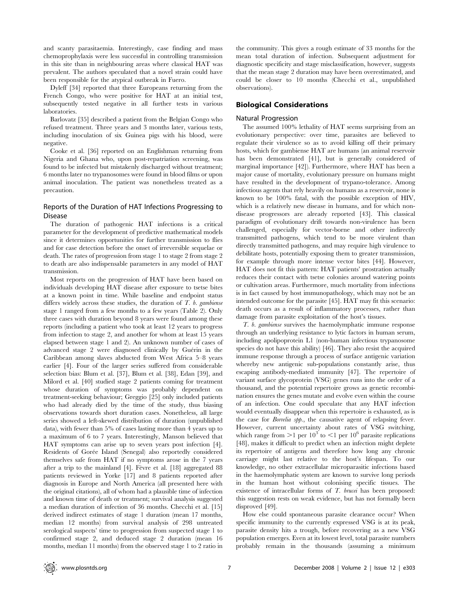and scanty parasitaemia. Interestingly, case finding and mass chemoprophylaxis were less successful in controlling transmission in this site than in neighbouring areas where classical HAT was prevalent. The authors speculated that a novel strain could have been responsible for the atypical outbreak in Fuero.

Dyleff [34] reported that three Europeans returning from the French Congo, who were positive for HAT at an initial test, subsequently tested negative in all further tests in various laboratories.

Barlovatz [35] described a patient from the Belgian Congo who refused treatment. Three years and 3 months later, various tests, including inoculation of six Guinea pigs with his blood, were negative.

Cooke et al. [36] reported on an Englishman returning from Nigeria and Ghana who, upon post-repatriation screening, was found to be infected but mistakenly discharged without treatment; 6 months later no trypanosomes were found in blood films or upon animal inoculation. The patient was nonetheless treated as a precaution.

## Reports of the Duration of HAT Infections Progressing to Disease

The duration of pathogenic HAT infections is a critical parameter for the development of predictive mathematical models since it determines opportunities for further transmission to flies and for case detection before the onset of irreversible sequelae or death. The rates of progression from stage 1 to stage 2 from stage 2 to death are also indispensable parameters in any model of HAT transmission.

Most reports on the progression of HAT have been based on individuals developing HAT disease after exposure to tsetse bites at a known point in time. While baseline and endpoint status differs widely across these studies, the duration of  $T$ .  $b$ . gambiense stage 1 ranged from a few months to a few years (Table 2). Only three cases with duration beyond 8 years were found among these reports (including a patient who took at least 12 years to progress from infection to stage 2, and another for whom at least 15 years elapsed between stage 1 and 2). An unknown number of cases of advanced stage 2 were diagnosed clinically by Guérin in the Caribbean among slaves abducted from West Africa 5–8 years earlier [4]. Four of the larger series suffered from considerable selection bias: Blum et al. [37], Blum et al. [38], Edan [39], and Milord et al. [40] studied stage 2 patients coming for treatment whose duration of symptoms was probably dependent on treatment-seeking behaviour; Greggio [25] only included patients who had already died by the time of the study, thus biasing observations towards short duration cases. Nonetheless, all large series showed a left-skewed distribution of duration (unpublished data), with fewer than 5% of cases lasting more than 4 years up to a maximum of 6 to 7 years. Interestingly, Manson believed that HAT symptoms can arise up to seven years post infection [4]. Residents of Gorée Island (Senegal) also reportedly considered themselves safe from HAT if no symptoms arose in the 7 years after a trip to the mainland  $[4]$ . Fevre et al.  $[18]$  aggregated 88 patients reviewed in Yorke [17] and 8 patients reported after diagnosis in Europe and North America (all presented here with the original citations), all of whom had a plausible time of infection and known time of death or treatment; survival analysis suggested a median duration of infection of 36 months. Checchi et al. [15] derived indirect estimates of stage 1 duration (mean 17 months, median 12 months) from survival analysis of 298 untreated serological suspects' time to progression from suspected stage 1 to confirmed stage 2, and deduced stage 2 duration (mean 16 months, median 11 months) from the observed stage 1 to 2 ratio in the community. This gives a rough estimate of 33 months for the mean total duration of infection. Subsequent adjustment for diagnostic specificity and stage misclassification, however, suggests that the mean stage 2 duration may have been overestimated, and could be closer to 10 months (Checchi et al., unpublished observations).

## Biological Considerations

#### Natural Progression

The assumed 100% lethality of HAT seems surprising from an evolutionary perspective: over time, parasites are believed to regulate their virulence so as to avoid killing off their primary hosts, which for gambiense HAT are humans (an animal reservoir has been demonstrated [41], but is generally considered of marginal importance [42]). Furthermore, where HAT has been a major cause of mortality, evolutionary pressure on humans might have resulted in the development of trypano-tolerance. Among infectious agents that rely heavily on humans as a reservoir, none is known to be 100% fatal, with the possible exception of HIV, which is a relatively new disease in humans, and for which nondisease progressors are already reported [43]. This classical paradigm of evolutionary drift towards non-virulence has been challenged, especially for vector-borne and other indirectly transmitted pathogens, which tend to be more virulent than directly transmitted pathogens, and may require high virulence to debilitate hosts, potentially exposing them to greater transmission, for example through more intense vector bites [44]. However, HAT does not fit this pattern: HAT patients' prostration actually reduces their contact with tsetse colonies around watering points or cultivation areas. Furthermore, much mortality from infections is in fact caused by host immunopathology, which may not be an intended outcome for the parasite [45]. HAT may fit this scenario: death occurs as a result of inflammatory processes, rather than damage from parasite exploitation of the host's tissues.

T. b. gambiense survives the haemolymphatic immune response through an underlying resistance to lytic factors in human serum, including apolipoprotein L1 (non-human infectious trypanosome species do not have this ability) [46]. They also resist the acquired immune response through a process of surface antigenic variation whereby new antigenic sub-populations constantly arise, thus escaping antibody-mediated immunity [47]. The repertoire of variant surface glycoprotein (VSG) genes runs into the order of a thousand, and the potential repertoire grows as genetic recombination ensures the genes mutate and evolve even within the course of an infection. One could speculate that any HAT infection would eventually disappear when this repertoire is exhausted, as is the case for Borrelia spp., the causative agent of relapsing fever. However, current uncertainty about rates of VSG switching, which range from  $>1$  per  $10^3$  to  $<1$  per  $10^6$  parasite replications [48], makes it difficult to predict when an infection might deplete its repertoire of antigens and therefore how long any chronic carriage might last relative to the host's lifespan. To our knowledge, no other extracellular microparasitic infections based in the haemolymphatic system are known to survive long periods in the human host without colonising specific tissues. The existence of intracellular forms of T. brucei has been proposed: this suggestion rests on weak evidence, but has not formally been disproved [49].

How else could spontaneous parasite clearance occur? When specific immunity to the currently expressed VSG is at its peak, parasite density hits a trough, before recovering as a new VSG population emerges. Even at its lowest level, total parasite numbers probably remain in the thousands (assuming a minimum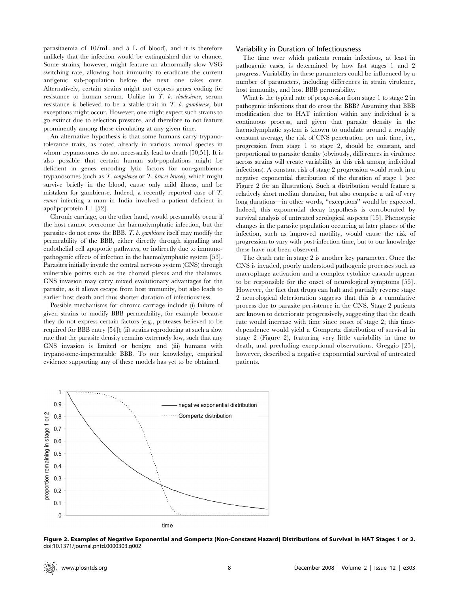parasitaemia of 10/mL and 5 L of blood), and it is therefore unlikely that the infection would be extinguished due to chance. Some strains, however, might feature an abnormally slow VSG switching rate, allowing host immunity to eradicate the current antigenic sub-population before the next one takes over. Alternatively, certain strains might not express genes coding for resistance to human serum. Unlike in T. b. rhodesiense, serum resistance is believed to be a stable trait in  $T$ . b. gambiense, but exceptions might occur. However, one might expect such strains to go extinct due to selection pressure, and therefore to not feature prominently among those circulating at any given time.

An alternative hypothesis is that some humans carry trypanotolerance traits, as noted already in various animal species in whom trypanosomes do not necessarily lead to death [50,51]. It is also possible that certain human sub-populations might be deficient in genes encoding lytic factors for non-gambiense trypanosomes (such as  $T.$  congolense or  $T.$  brucei brucei), which might survive briefly in the blood, cause only mild illness, and be mistaken for gambiense. Indeed, a recently reported case of T. evansi infecting a man in India involved a patient deficient in apolipoprotein L1 [52].

Chronic carriage, on the other hand, would presumably occur if the host cannot overcome the haemolymphatic infection, but the parasites do not cross the BBB. T. b. gambiense itself may modify the permeability of the BBB, either directly through signalling and endothelial cell apoptotic pathways, or indirectly due to immunopathogenic effects of infection in the haemolymphatic system [53]. Parasites initially invade the central nervous system (CNS) through vulnerable points such as the choroid plexus and the thalamus. CNS invasion may carry mixed evolutionary advantages for the parasite, as it allows escape from host immunity, but also leads to earlier host death and thus shorter duration of infectiousness.

Possible mechanisms for chronic carriage include (i) failure of given strains to modify BBB permeability, for example because they do not express certain factors (e.g., proteases believed to be required for BBB entry [54]); (ii) strains reproducing at such a slow rate that the parasite density remains extremely low, such that any CNS invasion is limited or benign; and (iii) humans with trypanosome-impermeable BBB. To our knowledge, empirical evidence supporting any of these models has yet to be obtained.

#### Variability in Duration of Infectiousness

The time over which patients remain infectious, at least in pathogenic cases, is determined by how fast stages 1 and 2 progress. Variability in these parameters could be influenced by a number of parameters, including differences in strain virulence, host immunity, and host BBB permeability.

What is the typical rate of progression from stage 1 to stage 2 in pathogenic infections that do cross the BBB? Assuming that BBB modification due to HAT infection within any individual is a continuous process, and given that parasite density in the haemolymphatic system is known to undulate around a roughly constant average, the risk of CNS penetration per unit time, i.e., progression from stage 1 to stage 2, should be constant, and proportional to parasite density (obviously, differences in virulence across strains will create variability in this risk among individual infections). A constant risk of stage 2 progression would result in a negative exponential distribution of the duration of stage 1 (see Figure 2 for an illustration). Such a distribution would feature a relatively short median duration, but also comprise a tail of very long durations—in other words, ''exceptions'' would be expected. Indeed, this exponential decay hypothesis is corroborated by survival analysis of untreated serological suspects [15]. Phenotypic changes in the parasite population occurring at later phases of the infection, such as improved motility, would cause the risk of progression to vary with post-infection time, but to our knowledge these have not been observed.

The death rate in stage 2 is another key parameter. Once the CNS is invaded, poorly understood pathogenic processes such as macrophage activation and a complex cytokine cascade appear to be responsible for the onset of neurological symptoms [55]. However, the fact that drugs can halt and partially reverse stage 2 neurological deterioration suggests that this is a cumulative process due to parasite persistence in the CNS. Stage 2 patients are known to deteriorate progressively, suggesting that the death rate would increase with time since onset of stage 2; this timedependence would yield a Gompertz distribution of survival in stage 2 (Figure 2), featuring very little variability in time to death, and precluding exceptional observations. Greggio [25], however, described a negative exponential survival of untreated patients.



Figure 2. Examples of Negative Exponential and Gompertz (Non-Constant Hazard) Distributions of Survival in HAT Stages 1 or 2. doi:10.1371/journal.pntd.0000303.g002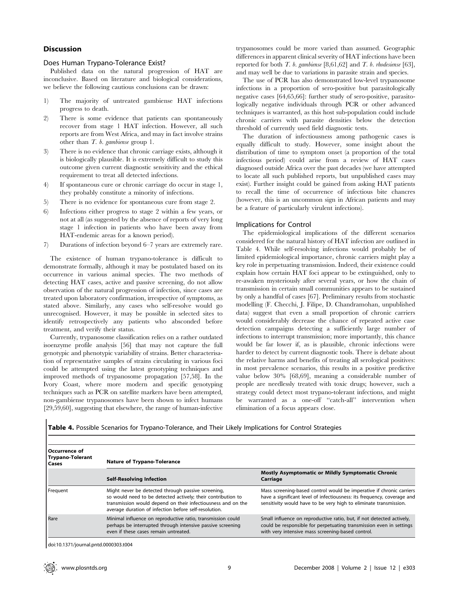## Discussion

#### Does Human Trypano-Tolerance Exist?

Published data on the natural progression of HAT are inconclusive. Based on literature and biological considerations, we believe the following cautious conclusions can be drawn:

- 1) The majority of untreated gambiense HAT infections progress to death.
- 2) There is some evidence that patients can spontaneously recover from stage 1 HAT infection. However, all such reports are from West Africa, and may in fact involve strains other than T. b. gambiense group 1.
- 3) There is no evidence that chronic carriage exists, although it is biologically plausible. It is extremely difficult to study this outcome given current diagnostic sensitivity and the ethical requirement to treat all detected infections.
- 4) If spontaneous cure or chronic carriage do occur in stage 1, they probably constitute a minority of infections.
- 5) There is no evidence for spontaneous cure from stage 2.
- 6) Infections either progress to stage 2 within a few years, or not at all (as suggested by the absence of reports of very long stage 1 infection in patients who have been away from HAT-endemic areas for a known period).
- 7) Durations of infection beyond 6–7 years are extremely rare.

The existence of human trypano-tolerance is difficult to demonstrate formally, although it may be postulated based on its occurrence in various animal species. The two methods of detecting HAT cases, active and passive screening, do not allow observation of the natural progression of infection, since cases are treated upon laboratory confirmation, irrespective of symptoms, as stated above. Similarly, any cases who self-resolve would go unrecognised. However, it may be possible in selected sites to identify retrospectively any patients who absconded before treatment, and verify their status.

Currently, trypanosome classification relies on a rather outdated isoenzyme profile analysis [56] that may not capture the full genotypic and phenotypic variability of strains. Better characterisation of representative samples of strains circulating in various foci could be attempted using the latest genotyping techniques and improved methods of trypanosome propagation [57,58]. In the Ivory Coast, where more modern and specific genotyping techniques such as PCR on satellite markers have been attempted, non-gambiense trypanosomes have been shown to infect humans [29,59,60], suggesting that elsewhere, the range of human-infective trypanosomes could be more varied than assumed. Geographic differences in apparent clinical severity of HAT infections have been reported for both  $T.$  b. gambiense [8,61,62] and  $T.$  b. rhodesiense [63], and may well be due to variations in parasite strain and species.

The use of PCR has also demonstrated low-level trypanosome infections in a proportion of sero-positive but parasitologically negative cases [64,65,66]: further study of sero-positive, parasitologically negative individuals through PCR or other advanced techniques is warranted, as this host sub-population could include chronic carriers with parasite densities below the detection threshold of currently used field diagnostic tests.

The duration of infectiousness among pathogenic cases is equally difficult to study. However, some insight about the distribution of time to symptom onset (a proportion of the total infectious period) could arise from a review of HAT cases diagnosed outside Africa over the past decades (we have attempted to locate all such published reports, but unpublished cases may exist). Further insight could be gained from asking HAT patients to recall the time of occurrence of infectious bite chancres (however, this is an uncommon sign in African patients and may be a feature of particularly virulent infections).

#### Implications for Control

The epidemiological implications of the different scenarios considered for the natural history of HAT infection are outlined in Table 4. While self-resolving infections would probably be of limited epidemiological importance, chronic carriers might play a key role in perpetuating transmission. Indeed, their existence could explain how certain HAT foci appear to be extinguished, only to re-awaken mysteriously after several years, or how the chain of transmission in certain small communities appears to be sustained by only a handful of cases [67]. Preliminary results from stochastic modelling (F. Checchi, J. Filipe, D. Chandramohan, unpublished data) suggest that even a small proportion of chronic carriers would considerably decrease the chance of repeated active case detection campaigns detecting a sufficiently large number of infections to interrupt transmission; more importantly, this chance would be far lower if, as is plausible, chronic infections were harder to detect by current diagnostic tools. There is debate about the relative harms and benefits of treating all serological positives: in most prevalence scenarios, this results in a positive predictive value below 30% [68,69], meaning a considerable number of people are needlessly treated with toxic drugs; however, such a strategy could detect most trypano-tolerant infections, and might be warranted as a one-off ''catch-all'' intervention when elimination of a focus appears close.

Table 4. Possible Scenarios for Trypano-Tolerance, and Their Likely Implications for Control Strategies

| Occurrence of<br>Trypano-Tolerant<br>l Cases | <b>Nature of Trypano-Tolerance</b>                                                                                                                                                                                                          |                                                                                                                                                                                                                      |
|----------------------------------------------|---------------------------------------------------------------------------------------------------------------------------------------------------------------------------------------------------------------------------------------------|----------------------------------------------------------------------------------------------------------------------------------------------------------------------------------------------------------------------|
|                                              | <b>Self-Resolving Infection</b>                                                                                                                                                                                                             | <b>Mostly Asymptomatic or Mildly Symptomatic Chronic</b><br>Carriage                                                                                                                                                 |
| Frequent                                     | Might never be detected through passive screening,<br>so would need to be detected actively; their contribution to<br>transmission would depend on their infectiousness and on the<br>average duration of infection before self-resolution. | Mass screening-based control would be imperative if chronic carriers<br>have a significant level of infectiousness: its frequency, coverage and<br>sensitivity would have to be very high to eliminate transmission. |
| Rare                                         | Minimal influence on reproductive ratio, transmission could<br>perhaps be interrupted through intensive passive screening<br>even if these cases remain untreated.                                                                          | Small influence on reproductive ratio, but, if not detected actively,<br>could be responsible for perpetuating transmission even in settings<br>with very intensive mass screening-based control.                    |

doi:10.1371/journal.pntd.0000303.t004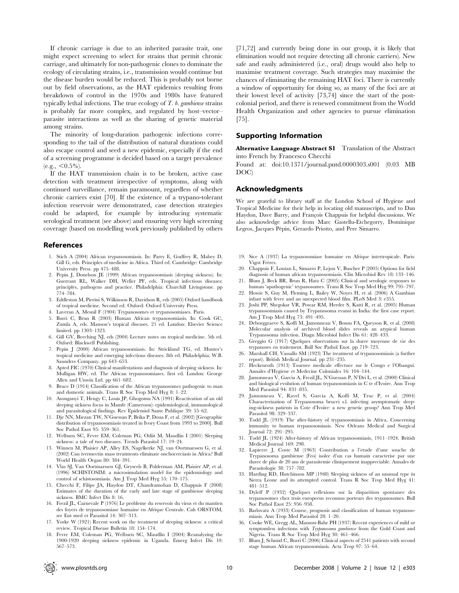If chronic carriage is due to an inherited parasite trait, one might expect screening to select for strains that permit chronic carriage, and ultimately for non-pathogenic clones to dominate the ecology of circulating strains, i.e., transmission would continue but the disease burden would be reduced. This is probably not borne out by field observations, as the HAT epidemics resulting from breakdown of control in the 1970s and 1980s have featured typically lethal infections. The true ecology of  $T$ ,  $b$ , gambiense strains is probably far more complex, and regulated by host–vector– parasite interactions as well as the sharing of genetic material among strains.

The minority of long-duration pathogenic infections corresponding to the tail of the distribution of natural durations could also escape control and seed a new epidemic, especially if the end of a screening programme is decided based on a target prevalence  $(e.g., <0.5\%)$ .

If the HAT transmission chain is to be broken, active case detection with treatment irrespective of symptoms, along with continued surveillance, remain paramount, regardless of whether chronic carriers exist [70]. If the existence of a trypano-tolerant infection reservoir were demonstrated, case detection strategies could be adapted, for example by introducing systematic serological treatment (see above) and ensuring very high screening coverage (based on modelling work previously published by others

### References

- 1. Stich A (2004) African trypanosomiasis. In: Parry E, Godfrey R, Mabey D, Gill G, eds. Principles of medicine in Africa. Third ed. Cambridge: Cambridge University Press. pp 475–488.
- 2. Pepin J, Donelson JE (1999) African trypanosomiasis (sleeping sickness). In: Guerrant RL, Walker DH, Weller PF, eds. Tropical infectious diseases: principles, pathogens and practice. Philadelphia: Churchill Livingstone. pp 774–784.
- 3. Eddleston M, Pierini S, Wilkinson R, Davidson R, eds (2005) Oxford handbook of tropical medicine. Second ed. Oxford: Oxford University Press.
- 4. Laveran A, Mesnil F (1904) Trypanosomes et trypanosomiases. Paris.
- 5. Burri C, Brun R (2003) Human African trypanosomiasis. In: Cook GC, Zumla A, eds. Manson's tropical diseases. 21 ed. London: Elsevier Science limited. pp 1303–1323.
- 6. Gill GV, Beeching NJ, eds (2004) Lecture notes on tropical medicine. 5th ed. Oxford: Blackwell Publishing.
- 7. Pepin J (2000) African trypanosomiasis. In: Strickland TG, ed. Hunter's tropical medicine and emerging infectious diseases. 8th ed. Philadelphia: W.B. Saunders Company. pp 643–653.
- Apted FIC (1970) Clinical manifestations and diagnosis of sleeping sickness. In: Mulligan HW, ed. The African trypanosomiases. first ed. London: George Allen and Unwin Ltd. pp 661–682.
- 9. Bruce D (1914) Classification of the African trypanosomes pathogenic to man and domestic animals. Trans R Soc Trop Med Hyg 8: 1–22.
- 10. Asonganyi T, Hengy C, Louis JP, Ghogomu NA (1991) Reactivation of an old sleeping sickness focus in Mamfe (Cameroon): epidemiological, immunological and parasitological findings. Rev Epidemiol Sante Publique 39: 55–62.
- 11. Dje NN, Miezan TW, N'Guessan P, Brika P, Doua F, et al. (2002) [Geographic distribution of trypanosomiasis treated in Ivory Coast from 1993 to 2000]. Bull Soc Pathol Exot 95: 359–361.
- 12. Welburn SC, Fevre EM, Coleman PG, Odiit M, Maudlin I (2001) Sleeping sickness: a tale of two diseases. Trends Parasitol 17: 19–24.
- 13. Winnen M, Plaisier AP, Alley ES, Nagelkerke NJ, van Oortmarssen G, et al. (2002) Can ivermectin mass treatments eliminate onchocerciasis in Africa? Bull World Health Organ 80: 384–391.
- 14. Vlas SJ, Van Oortmarssen GJ, Gryseels B, Polderman AM, Plaisier AP, et al. (1996) SCHISTOSIM: a microsimulation model for the epidemiology and control of schistosomiasis. Am J Trop Med Hyg 55: 170–175.
- 15. Checchi F, Filipe JA, Haydon DT, Chandramohan D, Chappuis F (2008) Estimates of the duration of the early and late stage of gambiense sleeping sickness. BMC Infect Dis 8: 16.
- 16. Frezil JL, Carnevale P (1976) Le probleme du reservoir du virus et du mantien des foyers de trypanosomiase humaine en Afrique Centrale. Cah ORSTOM, ser Ent med et Parasitol 14: 307–313.
- 17. Yorke W (1921) Recent work on the treatment of sleeping sickness: a critical review. Tropical Disease Bulletin 18: 154–174.
- 18. Fevre EM, Coleman PG, Welburn SC, Maudlin I (2004) Reanalyzing the 1900-1920 sleeping sickness epidemic in Uganda. Emerg Infect Dis 10: 567–573.

[71,72] and currently being done in our group, it is likely that elimination would not require detecting all chronic carriers). New safe and easily administered (i.e., oral) drugs would also help to maximise treatment coverage. Such strategies may maximise the chances of eliminating the remaining HAT foci. There is currently a window of opportunity for doing so, as many of the foci are at their lowest level of activity [73,74] since the start of the postcolonial period, and there is renewed commitment from the World Health Organization and other agencies to pursue elimination [75].

#### Supporting Information

Alternative Language Abstract S1 Translation of the Abstract into French by Francesco Checchi

Found at: doi:10.1371/journal.pntd.0000303.s001 (0.03 MB DOC)

#### Acknowledgments

We are grateful to library staff at the London School of Hygiene and Tropical Medicine for their help in locating old manuscripts, and to Dan Haydon, Dave Barry, and François Chappuis for helpful discussions. We also acknowledge advice from Marc Gastellu-Etchegorry, Dominique Legros, Jacques Pépin, Gerardo Priotto, and Pere Simarro.

- 19. Sice A (1937) La trypanosomiase humaine en Afrique intertropicale. Paris: Vigot Frères
- 20. Chappuis F, Loutan L, Simarro P, Lejon V, Buscher P (2005) Options for field diagnosis of human african trypanosomiasis. Clin Microbiol Rev 18: 133–146. 21. Blum J, Beck BR, Brun R, Hatz C (2005) Clinical and serologic responses to
- human 'apathogenic' trypanosomes. Trans R Soc Trop Med Hyg 99: 795–797. 22. Howie S, Guy M, Fleming L, Bailey W, Noyes H, et al. (2006) A Gambian
- infant with fever and an unexpected blood film. PLoS Med 3: e355. 23. Joshi PP, Shegokar VR, Powar RM, Herder S, Katti R, et al. (2005) Human
- trypanosomiasis caused by Trypanosoma evansi in India: the first case report. Am J Trop Med Hyg 73: 491–495.
- 24. Deborggraeve S, Koffi M, Jamonneau V, Bonsu FA, Queyson R, et al. (2008) Molecular analysis of archived blood slides reveals an atypical human Trypanosoma infection. Diagn Microbiol Infect Dis 61: 428–433.
- 25. Greggio G (1917) Quelques observations sur la duree moyenne de vie des trypanoses en traitement. Bull Soc Pathol Exot. pp 719–723.
- 26. Marshall CH, Vassallo SM (1923) The treatment of trypanosomiasis (a further report). British Medical Journal. pp 231–235.
- 27. Heckenroth (1913) Tournee medicale effectuee sur le Congo e l'Obangui. Annales d'Hygiene et Medecine Coloniales 16: 104–144.
- 28. Jamonneau V, Garcia A, Frezil JL, N'Guessan P, N'Dri L, et al. (2000) Clinical and biological evolution of human trypanosomiasis in C te d'Ivoire. Ann Trop Med Parasitol 94: 831–835.
- 29. Jamonneau V, Ravel S, Garcia A, Koffi M, Truc P, et al. (2004) Characterization of Trypanosoma brucei s.l. infecting asymptomatic sleeping-sickness patients in Cote d'Ivoire: a new genetic group? Ann Trop Med Parasitol 98: 329–337.
- 30. Todd JL (1919) The after-history of trypanosomiasis in Africa. Concerning immunity to human trypanosomiasis. New Orleans Medical and Surgical Journal 72: 291–295.
- 31. Todd JL (1924) After-history of African trypanosomiasis, 1911–1924. British Medical Journal 169: 298.
- 32. Lapierre J, Coste M (1963) Contribution a l'etude d'une souche de Trypanosoma gambiense (Feo) isolee d'un cas humain caracterise par une duree de plus de 20 ans de parasitemie cliniquement inappreciable. Annales de Parasitologie 38: 757–782.
- 33. Harding RD, Hutchinson MP (1948) Sleeping sickness of an unusual type in Sierra Leone and its attempted control. Trans R Soc Trop Med Hyg 41: 481–512.
- 34. Dyleff P (1932) Quelques reflexions sur la disparition spontanee des trypanosomes chez trois europeens reconnus porteurs des trypanosomes. Bull Soc Pathol Exot 25: 956–958.
- 35. Barlovatz A (1933) Course, prognosis and classification of human trypanosomiasis. Ann Trop Med Parasitol 28: 1–20.
- 36. Cooke WE, Gregg AL, Manson-Bahr PH (1937) Recent experiences of mild or symptomless infections with Trypanosoma gambiense from the Gold Coast and Nigeria. Trans R Soc Trop Med Hyg 30: 461–466.
- 37. Blum J, Schmid C, Burri C (2006) Clinical aspects of 2541 patients with second stage human African trypanosomiasis. Acta Trop 97: 55–64.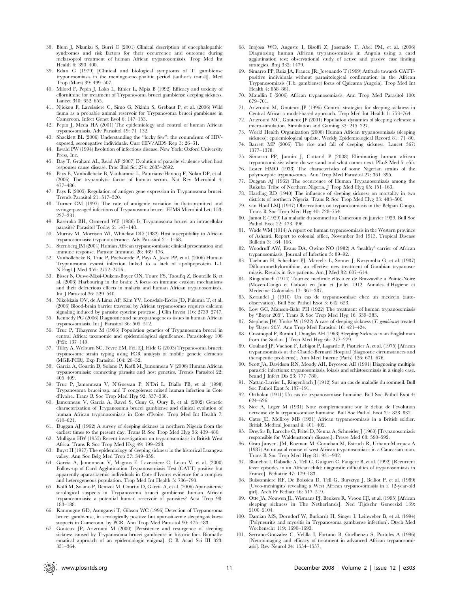- 38. Blum J, Nkunku S, Burri C (2001) Clinical description of encephalopathic syndromes and risk factors for their occurrence and outcome during melarsoprol treatment of human African trypanosomiasis. Trop Med Int Health 6: 390–400.
- 39. Edan G (1979) [Clinical and biological symptoms of T. gambiense tryponosomiasis in the meningo-encephalitic period (author's transl)]. Med Trop (Mars) 39: 499–507.
- 40. Milord F, Pepin J, Loko L, Ethier L, Mpia B (1992) Efficacy and toxicity of eflornithine for treatment of Trypanosoma brucei gambiense sleeping sickness. Lancet 340: 652–655.
- 41. Njiokou F, Laveissiere C, Simo G, Nkinin S, Grebaut P, et al. (2006) Wild fauna as a probable animal reservoir for Trypanosoma brucei gambiense in Cameroon. Infect Genet Evol 6: 147–153.
- 42. Pepin J, Meda HA (2001) The epidemiology and control of human African trypanosomiasis. Adv Parasitol 49: 71–132.
- 43. Shacklett BL (2006) Understanding the ''lucky few'': the conundrum of HIVexposed, seronegative individuals. Curr HIV/AIDS Rep 3: 26–31.
- 44. Ewald PW (1994) Evolution of infectious disease. New York: Oxford University Press, Inc.
- 45. Day T, Graham AL, Read AF (2007) Evolution of parasite virulence when host responses cause disease. Proc Biol Sci 274: 2685–2692.
- 46. Pays E, Vanhollebeke B, Vanhamme L, Paturiaux-Hanocq F, Nolan DP, et al. (2006) The trypanolytic factor of human serum. Nat Rev Microbiol 4: 477–486.
- 47. Pays E (2005) Regulation of antigen gene expression in Trypanosoma brucei. Trends Parasitol 21: 517–520.
- 48. Turner CM (1997) The rate of antigenic variation in fly-transmitted and syringe-passaged infections of Trypanosoma brucei. FEMS Microbiol Lett 153: 227–231.
- 49. Raseroka BH, Ormerod WE (1986) Is Trypanosoma brucei an intracellular parasite? Parasitol Today 2: 147–148.
- 50. Murray M, Morrison WI, Whitelaw DD (1982) Host susceptibility to African trypanosomiasis: trypanotolerance. Adv Parasitol 21: 1–68.
- 51. Sternberg JM (2004) Human African trypanosomiasis: clinical presentation and immune response. Parasite Immunol 26: 469–476.
- 52. Vanhollebeke B, Truc P, Poelvoorde P, Pays A, Joshi PP, et al. (2006) Human Trypanosoma evansi infection linked to a lack of apolipoprotein L-I. N Engl J Med 355: 2752–2756.
- 53. Bisser S, Ouwe-Missi-Oukem-Boyer ON, Toure FS, Taoufiq Z, Bouteille B, et al. (2006) Harbouring in the brain: A focus on immune evasion mechanisms and their deleterious effects in malaria and human African trypanosomiasis. Int J Parasitol 36: 529–540.
- 54. Nikolskaia OV, de A Lima AP, Kim YV, Lonsdale-Eccles JD, Fukuma T, et al. (2006) Blood-brain barrier traversal by African trypanosomes requires calcium signaling induced by parasite cysteine protease. J Clin Invest 116: 2739–2747.
- 55. Kennedy PG (2006) Diagnostic and neuropathogenesis issues in human African trypanosomiasis. Int J Parasitol 36: 505–512.
- 56. Truc P, Tibayrenc M (1993) Population genetics of Trypanosoma brucei in central Africa: taxonomic and epidemiological significance. Parasitology 106 (Pt2): 137–149.
- 57. Tilley A, Welburn SC, Fevre EM, Feil EJ, Hide G (2003) Trypanosoma brucei: trypanosome strain typing using PCR analysis of mobile genetic elements (MGE-PCR). Exp Parasitol 104: 26–32.
- 58. Garcia A, Courtin D, Solano P, Koffi M, Jamonneau V (2006) Human African trypanosomiasis: connecting parasite and host genetics. Trends Parasitol 22: 405–409.
- 59. Truc P, Jamonneau V, N'Guessan P, N'Dri L, Diallo PB, et al. (1998) Trypanosoma brucei ssp. and T congolense: mixed human infection in Cote d'Ivoire. Trans R Soc Trop Med Hyg 92: 537–538.
- 60. Jamonneau V, Garcia A, Ravel S, Cuny G, Oury B, et al. (2002) Genetic characterization of Trypanosoma brucei gambiense and clinical evolution of human African trypanosomiasis in Cote d'Ivoire. Trop Med Int Health 7: 610–621.
- 61. Duggan AJ (1962) A survey of sleeping sickness in northern Nigeria from the earliest times to the present day. Trans R Soc Trop Med Hyg 56: 439–480.
- 62. Mulligan HW (1955) Recent investigations on trypanosomiasis in British West Africa. Trans R Soc Trop Med Hyg 49: 199–228.
- 63. Buyst H (1977) The epidemiology of sleeping sickness in the historical Luangwa valley. Ann Soc Belg Med Trop 57: 349–359.
- 64. Garcia A, Jamonneau V, Magnus E, Laveissiere C, Lejon V, et al. (2000) Follow-up of Card Agglutination Trypanosomiasis Test (CATT) positive but apparently aparasitaemic individuals in Cote d'Ivoire: evidence for a complex and heterogeneous population. Trop Med Int Health 5: 786–793.
- 65. Koffi M, Solano P, Denizot M, Courtin D, Garcia A, et al. (2006) Aparasitemic serological suspects in Trypanosoma brucei gambiense human African trypanosomiasis: a potential human reservoir of parasites? Acta Trop 98: 183–188.
- 66. Kanmogne GD, Asonganyi T, Gibson WC (1996) Detection of Trypanosoma brucei gambiense, in serologically positive but aparasitaemic sleeping-sickness suspects in Cameroon, by PCR. Ann Trop Med Parasitol 90: 475–483.
- 67. Gouteux JP, Artzrouni M (2000) [Persistence and resurgence of sleeping sickness caused by Trypanosoma brucei gambiense in historic foci. Biomathematical approach of an epidemiologic enigma]. C R Acad Sci III 323: 351–364.
- 68. Inojosa WO, Augusto I, Bisoffi Z, Josenado T, Abel PM, et al. (2006) Diagnosing human African trypanosomiasis in Angola using a card agglutination test: observational study of active and passive case finding strategies. Bmj 332: 1479.
- 69. Simarro PP, Ruiz JA, Franco JR, Josenando T (1999) Attitude towards CATTpositive individuals without parasitological confirmation in the African Trypanosomiasis (T.b. gambiense) focus of Quicama (Angola). Trop Med Int Health 4: 858–861.
- 70. Maudlin I (2006) African trypanosomiasis. Ann Trop Med Parasitol 100: 679–701.
- 71. Artzrouni M, Gouteux JP (1996) Control strategies for sleeping sickness in Central Africa: a model-based approach. Trop Med Int Health 1: 753–764.
- 72. Artzrouni MC, Gouteux JP (2001) Population dynamics of sleeping sickness: a micro-simulation. Simulation and Gaming 32: 215–227.
- 73. World Health Organization (2006) Human African trypanosomiasis (sleeping sickness): epidemiological update. Weekly Epidemiological Record 81: 71–80.
- 74. Barrett MP (2006) The rise and fall of sleeping sickness. Lancet 367: 1377–1378.
- 75. Simarro PP, Jannin J, Cattand P (2008) Eliminating human african trypanosomiasis: where do we stand and what comes next. PLoS Med 5: e55.
- 76. Lester HMO (1933) The characteristics of some Nigerian strains of the polymorphic trypanosomes. Ann Trop Med Parasitol 27: 361–395.
- 77. Duggan AJ (1962) The occurrence of Human Trypanosomiasis among the Rukuba Tribe of Northern Nigeria. J Trop Med Hyg 65: 151–163.
- Harding RD (1940) The influence of sleeping sickness on mortality in two districts of northern Nigeria. Trans R Soc Trop Med Hyg 33: 483–500.
- 79. van Hoof LMJ (1947) Observations on trypanosomiasis in the Belgian Congo. Trans R Soc Trop Med Hyg 40: 728–754.
- 80. Jamot E (1929) La maladie du sommeil au Cameroun en janvier 1929. Bull Soc Pathol Exot 22: 473–496.
- 81. Wade WM (1914) A report on human trypanosomiasis in the Western province of Ashanti. Report to colonial office, November 3rd 1913. Tropical Disease Bulletin 3: 164–166.
- 82. Woodruff AW, Evans DA, Owino NO (1982) A 'healthy' carrier of African trypanosomiasis. Journal of Infection 5: 89–92.
- 83. Taelman H, Schechter PJ, Marcelis L, Sonnet J, Kazyumba G, et al. (1987) Difluoromethylornithine, an effective new treatment of Gambian trypanosomiasis. Results in five patients. Am J Med 82: 607–614.
- 84. Ringenbach (1914) Tournee medicale effectuee de Brazzaville a Pointe-Noire (Moyen-Congo et Gabon) en Juin et Juillet 1912. Annales d'Hygiene et Medecine Coloniales 17: 361–387.
- 85. Kerandel J (1910) Un cas de trypanosomiase chez un medecin (autoobservation). Bull Soc Pathol Exot 3: 642–653.
- 86. Low GC, Manson-Bahr PH (1922) The treatment of human trypanosomiasis by ''Bayer 205''. Trans R Soc Trop Med Hyg 16: 339–383.
- 87. Stephens JW, Yorke W (1922) A case of sleeping sickness (T. gambiense) treated by 'Bayer 205'. Ann Trop Med Parasitol 16: 421–424.
- 88. Crastnopol P, Bumin I, Douglas AH (1963) Sleeping Sickness in an Englishman from the Sudan. J Trop Med Hyg 66: 277–279.
- 89. Coulaud JP, Vachon F, Lebigot P, Lagarde P, Pasticier A, et al. (1975) [African trypanosomiasis at the Claude-Bernard Hospital (diagnostic circumstances and therapeutic problems)]. Ann Med Interne (Paris) 126: 671–676.
- 90. Scott JA, Davidson RN, Moody AH, Bryceson AD (1991) Diagnosing multiple parasitic infections: trypanosomiasis, loiasis and schistosomiasis in a single case. Scand J Infect Dis 23: 777–780.
- 91. Nattan-Larrier L, Ringenbach J (1912) Sur un cas de maladie du sommeil. Bull Soc Pathol Exot 5: 187–191.
- 92. Ortholan (1911) Un cas de trypanosomiase humaine. Bull Soc Pathol Exot 4: 624–626.
- 93. Sice A, Leger M (1931) Note complementaire sur le debut de l'evolution nerveuse de la trypanosomiase humaine. Bull Soc Pathol Exot 24: 828–832.
- 94. Cates JE, McIlroy MB (1951) African trypanosomiasis in a British soldier. British Medical Journal ii: 401–402.
- 95. Dreyfus B, Laroche C, Fritel D, Nenna A, Schneider J (1960) [Trypanosomiasis responsible for Waldenstrom's disease.]. Presse Med 68: 590–592.
- 96. Grau Junyent JM, Rozman M, Corachan M, Estruch R, Urbano-Marquez A (1987) An unusual course of west African trypanosomiasis in a Caucasian man. Trans R Soc Trop Med Hyg 81: 931–932.
- 97. Blanchot I, Dabadie A, Tell G, Guiguen C, Faugere B, et al. (1992) [Recurrent fever episodes in an African child: diagnostic difficulties of trypanosomiasis in France]. Pediatrie 47: 179–183.
- 98. Buissonniere RF, De Boissieu D, Tell G, Bursztyn J, Belliot P, et al. (1989) [Uveo-meningitis revealing a West African trypanosomiasis in a 12-year-old girl]. Arch Fr Pediatr 46: 517–519.
- 99. Otte JA, Nouwen JL, Wismans PJ, Beukers R, Vroon HJ, et al. (1995) [African sleeping sickness in The Netherlands]. Ned Tijdschr Geneeskd 139: 2100–2104.
- 100. Damian MS, Dorndorf W, Burkardt H, Singer I, Leinweber B, et al. (1994) [Polyneuritis and myositis in Trypanosoma gambiense infection]. Dtsch Med Wochenschr 119: 1690–1693.
- 101. Serrano-Gonzalez C, Velilla I, Fortuno B, Guelbenzu S, Portoles A (1996) [Neuroimaging and efficacy of treatment in advanced African trypanosomiasis]. Rev Neurol 24: 1554–1557.